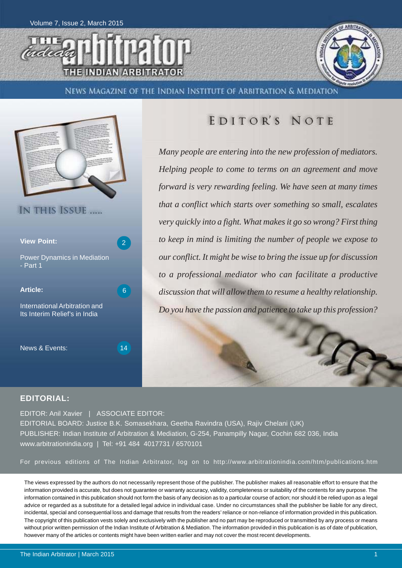





News Magazine of the Indian Institute of Arbitration & Mediation



## EDITOR'S NOTE

*Many people are entering into the new profession of mediators. Helping people to come to terms on an agreement and move forward is very rewarding feeling. We have seen at many times that a conflict which starts over something so small, escalates very quickly into a fight. What makes it go so wrong? First thing to keep in mind is limiting the number of people we expose to our conflict. It might be wise to bring the issue up for discussion to a professional mediator who can facilitate a productive discussion that will allow them to resume a healthy relationship. Do you have the passion and patience to take up this profession?*

### **EDITORIAL:**

EDITOR: Anil Xavier | ASSOCIATE EDITOR: EDITORIAL BOARD: Justice B.K. Somasekhara, Geetha Ravindra (USA), Rajiv Chelani (UK) PUBLISHER: Indian Institute of Arbitration & Mediation, G-254, Panampilly Nagar, Cochin 682 036, India www.arbitrationindia.org | Tel: +91 484 4017731 / 6570101

For previous editions of The Indian Arbitrator, log on to http://www.arbitrationindia.com/htm/publications.htm

The views expressed by the authors do not necessarily represent those of the publisher. The publisher makes all reasonable effort to ensure that the information provided is accurate, but does not guarantee or warranty accuracy, validity, completeness or suitability of the contents for any purpose. The information contained in this publication should not form the basis of any decision as to a particular course of action; nor should it be relied upon as a legal advice or regarded as a substitute for a detailed legal advice in individual case. Under no circumstances shall the publisher be liable for any direct, incidental, special and consequential loss and damage that results from the readers' reliance or non-reliance of information provided in this publication. The copyright of this publication vests solely and exclusively with the publisher and no part may be reproduced or transmitted by any process or means without prior written permission of the Indian Institute of Arbitration & Mediation. The information provided in this publication is as of date of publication, however many of the articles or contents might have been written earlier and may not cover the most recent developments.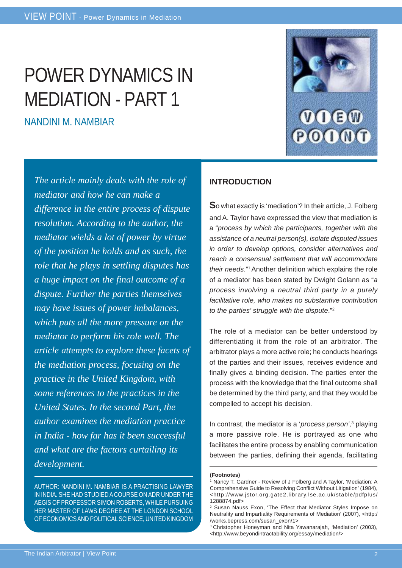# POWER DYNAMICS IN MEDIATION - PART 1

NANDINI M. NAMBIAR



*The article mainly deals with the role of mediator and how he can make a difference in the entire process of dispute resolution. According to the author, the mediator wields a lot of power by virtue of the position he holds and as such, the role that he plays in settling disputes has a huge impact on the final outcome of a dispute. Further the parties themselves may have issues of power imbalances, which puts all the more pressure on the mediator to perform his role well. The article attempts to explore these facets of the mediation process, focusing on the practice in the United Kingdom, with some references to the practices in the United States. In the second Part, the author examines the mediation practice in India - how far has it been successful and what are the factors curtailing its development.*

AUTHOR: NANDINI M. NAMBIAR IS A PRACTISING LAWYER IN INDIA. SHE HAD STUDIED A COURSE ON ADR UNDER THE AEGIS OF PROFESSOR SIMON ROBERTS, WHILE PURSUING HER MASTER OF LAWS DEGREE AT THE LONDON SCHOOL OF ECONOMICS AND POLITICAL SCIENCE, UNITED KINGDOM

## **INTRODUCTION**

**S**o what exactly is 'mediation'? In their article, J. Folberg and A. Taylor have expressed the view that mediation is a "*process by which the participants, together with the assistance of a neutral person(s), isolate disputed issues in order to develop options, consider alternatives and reach a consensual settlement that will accommodate their needs*."1 Another definition which explains the role of a mediator has been stated by Dwight Golann as "*a process involving a neutral third party in a purely facilitative role, who makes no substantive contribution to the parties' struggle with the dispute*."2

The role of a mediator can be better understood by differentiating it from the role of an arbitrator. The arbitrator plays a more active role; he conducts hearings of the parties and their issues, receives evidence and finally gives a binding decision. The parties enter the process with the knowledge that the final outcome shall be determined by the third party, and that they would be compelled to accept his decision.

In contrast, the mediator is a '*process person',*<sup>3</sup> playing a more passive role. He is portrayed as one who facilitates the entire process by enabling communication between the parties, defining their agenda, facilitating

**<sup>(</sup>Footnotes)**

<sup>1</sup> Nancy T. Gardner - Review of J Folberg and A Taylor, 'Mediation: A Comprehensive Guide to Resolving Conflict Without Litigation' (1984), <http://www.jstor.org.gate2.library.lse.ac.uk/stable/pdfplus/ 1288874.pdf>

Susan Nauss Exon, 'The Effect that Mediator Styles Impose on Neutrality and Impartiality Requirements of Mediation' (2007), <http:/ /works.bepress.com/susan\_exon/1>

<sup>3</sup> Christopher Honeyman and Nita Yawanarajah, 'Mediation' (2003), <http://www.beyondintractability.org/essay/mediation/>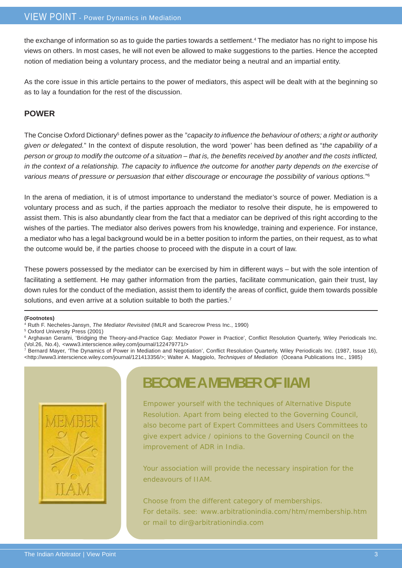the exchange of information so as to guide the parties towards a settlement.<sup>4</sup> The mediator has no right to impose his views on others. In most cases, he will not even be allowed to make suggestions to the parties. Hence the accepted notion of mediation being a voluntary process, and the mediator being a neutral and an impartial entity.

As the core issue in this article pertains to the power of mediators, this aspect will be dealt with at the beginning so as to lay a foundation for the rest of the discussion.

## **POWER**

The Concise Oxford Dictionary<sup>5</sup> defines power as the "*capacity to influence the behaviour of others; a right or authority given or delegated.*" In the context of dispute resolution, the word 'power' has been defined as "*the capability of a person or group to modify the outcome of a situation – that is, the benefits received by another and the costs inflicted, in the context of a relationship. The capacity to influence the outcome for another party depends on the exercise of various means of pressure or persuasion that either discourage or encourage the possibility of various options.*" 6

In the arena of mediation, it is of utmost importance to understand the mediator's source of power. Mediation is a voluntary process and as such, if the parties approach the mediator to resolve their dispute, he is empowered to assist them. This is also abundantly clear from the fact that a mediator can be deprived of this right according to the wishes of the parties. The mediator also derives powers from his knowledge, training and experience. For instance, a mediator who has a legal background would be in a better position to inform the parties, on their request, as to what the outcome would be, if the parties choose to proceed with the dispute in a court of law.

These powers possessed by the mediator can be exercised by him in different ways – but with the sole intention of facilitating a settlement. He may gather information from the parties, facilitate communication, gain their trust, lay down rules for the conduct of the mediation, assist them to identify the areas of conflict, guide them towards possible solutions, and even arrive at a solution suitable to both the parties.<sup>7</sup>

#### **(Footnotes)**

4 Ruth F. Necheles-Jansyn, *The Mediator Revisited* (IMLR and Scarecrow Press Inc., 1990)

5 Oxford University Press (2001)



## **BECOME A MEMBER OF IIAM**

Empower yourself with the techniques of Alternative Dispute Resolution. Apart from being elected to the Governing Council, also become part of Expert Committees and Users Committees to give expert advice / opinions to the Governing Council on the improvement of ADR in India.

Your association will provide the necessary inspiration for the endeavours of IIAM.

Choose from the different category of memberships. For details. see: www.arbitrationindia.com/htm/membership.htm or mail to dir@arbitrationindia.com

<sup>6</sup> Arghavan Gerami, 'Bridging the Theory-and-Practice Gap: Mediator Power in Practice', Conflict Resolution Quarterly, Wiley Periodicals Inc. (Vol.26, No.4), <www3.interscience.wiley.com/journal/122479771/>

<sup>7</sup> Bernard Mayer, 'The Dynamics of Power in Mediation and Negotiation', Conflict Resolution Quarterly, Wiley Periodicals Inc. (1987, Issue 16), <http://www3.interscience.wiley.com/journal/121413356/>; Walter A. Maggiolo, *Techniques of Mediation* (Oceana Publications Inc., 1985)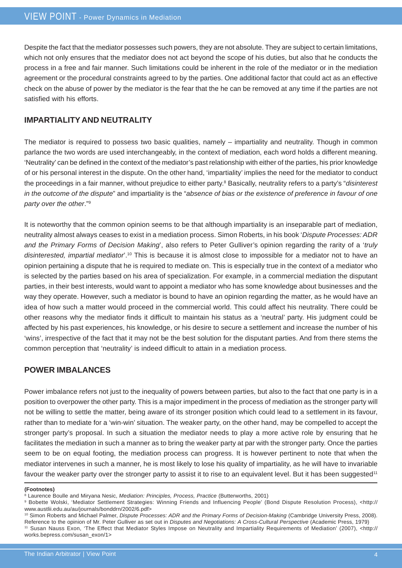Despite the fact that the mediator possesses such powers, they are not absolute. They are subject to certain limitations, which not only ensures that the mediator does not act beyond the scope of his duties, but also that he conducts the process in a free and fair manner. Such limitations could be inherent in the role of the mediator or in the mediation agreement or the procedural constraints agreed to by the parties. One additional factor that could act as an effective check on the abuse of power by the mediator is the fear that the he can be removed at any time if the parties are not satisfied with his efforts.

## **IMPARTIALITY AND NEUTRALITY**

The mediator is required to possess two basic qualities, namely – impartiality and neutrality. Though in common parlance the two words are used interchangeably, in the context of mediation, each word holds a different meaning. 'Neutrality' can be defined in the context of the mediator's past relationship with either of the parties, his prior knowledge of or his personal interest in the dispute. On the other hand, 'impartiality' implies the need for the mediator to conduct the proceedings in a fair manner, without prejudice to either party.<sup>8</sup> Basically, neutrality refers to a party's "*disinteresi in the outcome of the dispute*" and impartiality is the "*absence of bias or the existence of preference in favour of one party over the other*."9

It is noteworthy that the common opinion seems to be that although impartiality is an inseparable part of mediation, neutrality almost always ceases to exist in a mediation process. Simon Roberts, in his book '*Dispute Processes: ADR and the Primary Forms of Decision Making*', also refers to Peter Gulliver's opinion regarding the rarity of a '*truly disinterested, impartial mediator*'.10 This is because it is almost close to impossible for a mediator not to have an opinion pertaining a dispute that he is required to mediate on. This is especially true in the context of a mediator who is selected by the parties based on his area of specialization. For example, in a commercial mediation the disputant parties, in their best interests, would want to appoint a mediator who has some knowledge about businesses and the way they operate. However, such a mediator is bound to have an opinion regarding the matter, as he would have an idea of how such a matter would proceed in the commercial world. This could affect his neutrality. There could be other reasons why the mediator finds it difficult to maintain his status as a 'neutral' party. His judgment could be affected by his past experiences, his knowledge, or his desire to secure a settlement and increase the number of his 'wins', irrespective of the fact that it may not be the best solution for the disputant parties. And from there stems the common perception that 'neutrality' is indeed difficult to attain in a mediation process.

### **POWER IMBALANCES**

Power imbalance refers not just to the inequality of powers between parties, but also to the fact that one party is in a position to overpower the other party. This is a major impediment in the process of mediation as the stronger party will not be willing to settle the matter, being aware of its stronger position which could lead to a settlement in its favour, rather than to mediate for a 'win-win' situation. The weaker party, on the other hand, may be compelled to accept the stronger party's proposal. In such a situation the mediator needs to play a more active role by ensuring that he facilitates the mediation in such a manner as to bring the weaker party at par with the stronger party. Once the parties seem to be on equal footing, the mediation process can progress. It is however pertinent to note that when the mediator intervenes in such a manner, he is most likely to lose his quality of impartiality, as he will have to invariable favour the weaker party over the stronger party to assist it to rise to an equivalent level. But it has been suggested<sup>11</sup>

#### **(Footnotes)**

<sup>8</sup> Laurence Boulle and Miryana Nesic, *Mediation: Principles, Process, Practice* (Butterworths, 2001)

<sup>9</sup> Bobette Wolski, 'Mediator Settlement Strategies: Winning Friends and Influencing People' (Bond Dispute Resolution Process), <http:// www.austlii.edu.au/au/journals/bonddrn/2002/6.pdf>

<sup>10</sup> Simon Roberts and Michael Palmer, *Dispute Processes: ADR and the Primary Forms of Decision-Making* (Cambridge University Press, 2008). Reference to the opinion of Mr. Peter Gulliver as set out in *Disputes and Negotiations: A Cross-Cultural Perspective* (Academic Press, 1979) 11 Susan Nauss Exon, 'The Effect that Mediator Styles Impose on Neutrality and Impartiality Requirements of Mediation' (2007), <http:// works.bepress.com/susan\_exon/1>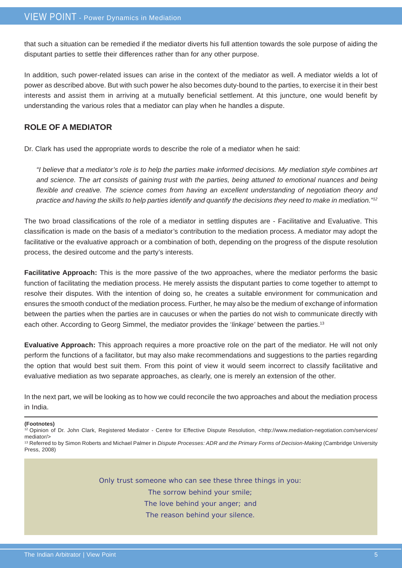that such a situation can be remedied if the mediator diverts his full attention towards the sole purpose of aiding the disputant parties to settle their differences rather than for any other purpose.

In addition, such power-related issues can arise in the context of the mediator as well. A mediator wields a lot of power as described above. But with such power he also becomes duty-bound to the parties, to exercise it in their best interests and assist them in arriving at a mutually beneficial settlement. At this juncture, one would benefit by understanding the various roles that a mediator can play when he handles a dispute.

## **ROLE OF A MEDIATOR**

Dr. Clark has used the appropriate words to describe the role of a mediator when he said:

*"I believe that a mediator's role is to help the parties make informed decisions. My mediation style combines art and science. The art consists of gaining trust with the parties, being attuned to emotional nuances and being flexible and creative. The science comes from having an excellent understanding of negotiation theory and practice and having the skills to help parties identify and quantify the decisions they need to make in mediation."12*

The two broad classifications of the role of a mediator in settling disputes are - Facilitative and Evaluative. This classification is made on the basis of a mediator's contribution to the mediation process. A mediator may adopt the facilitative or the evaluative approach or a combination of both, depending on the progress of the dispute resolution process, the desired outcome and the party's interests.

**Facilitative Approach:** This is the more passive of the two approaches, where the mediator performs the basic function of facilitating the mediation process. He merely assists the disputant parties to come together to attempt to resolve their disputes. With the intention of doing so, he creates a suitable environment for communication and ensures the smooth conduct of the mediation process. Further, he may also be the medium of exchange of information between the parties when the parties are in caucuses or when the parties do not wish to communicate directly with each other. According to Georg Simmel, the mediator provides the '*linkage'* between the parties.13

**Evaluative Approach:** This approach requires a more proactive role on the part of the mediator. He will not only perform the functions of a facilitator, but may also make recommendations and suggestions to the parties regarding the option that would best suit them. From this point of view it would seem incorrect to classify facilitative and evaluative mediation as two separate approaches, as clearly, one is merely an extension of the other.

In the next part, we will be looking as to how we could reconcile the two approaches and about the mediation process in India.

**(Footnotes)**

12 Opinion of Dr. John Clark, Registered Mediator - Centre for Effective Dispute Resolution, <http://www.mediation-negotiation.com/services/ mediator/> <sup>13</sup> Referred to by Simon Roberts and Michael Palmer in *Dispute Processes: ADR and the Primary Forms of Decision-Making* (Cambridge University

Press, 2008)

Only trust someone who can see these three things in you:

The sorrow behind your smile;

The love behind your anger; and

The reason behind your silence.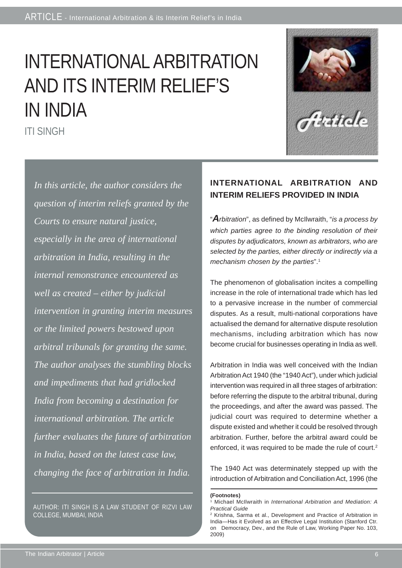# INTERNATIONAL ARBITRATION AND ITS INTERIM RELIEF'S IN INDIA



ITI SINGH

*In this article, the author considers the question of interim reliefs granted by the Courts to ensure natural justice, especially in the area of international arbitration in India, resulting in the internal remonstrance encountered as well as created – either by judicial intervention in granting interim measures or the limited powers bestowed upon arbitral tribunals for granting the same. The author analyses the stumbling blocks and impediments that had gridlocked India from becoming a destination for international arbitration. The article further evaluates the future of arbitration in India, based on the latest case law, changing the face of arbitration in India.*

AUTHOR: ITI SINGH IS A LAW STUDENT OF RIZVI LAW COLLEGE, MUMBAI, INDIA

## **INTERNATIONAL ARBITRATION AND INTERIM RELIEFS PROVIDED IN INDIA**

"*Arbitration*", as defined by McIlwraith, "*is a process by which parties agree to the binding resolution of their disputes by adjudicators, known as arbitrators, who are selected by the parties, either directly or indirectly via a mechanism chosen by the parties*".1

The phenomenon of globalisation incites a compelling increase in the role of international trade which has led to a pervasive increase in the number of commercial disputes. As a result, multi-national corporations have actualised the demand for alternative dispute resolution mechanisms, including arbitration which has now become crucial for businesses operating in India as well.

Arbitration in India was well conceived with the Indian Arbitration Act 1940 (the "1940 Act"), under which judicial intervention was required in all three stages of arbitration: before referring the dispute to the arbitral tribunal, during the proceedings, and after the award was passed. The judicial court was required to determine whether a dispute existed and whether it could be resolved through arbitration. Further, before the arbitral award could be enforced, it was required to be made the rule of court.<sup>2</sup>

The 1940 Act was determinately stepped up with the introduction of Arbitration and Conciliation Act, 1996 (the

**<sup>(</sup>Footnotes)**

<sup>1</sup> Michael McIlwraith in *International Arbitration and Mediation: A Practical Guide*

<sup>2</sup> Krishna, Sarma et al., Development and Practice of Arbitration in India—Has it Evolved as an Effective Legal Institution (Stanford Ctr. on Democracy, Dev., and the Rule of Law, Working Paper No. 103, 2009)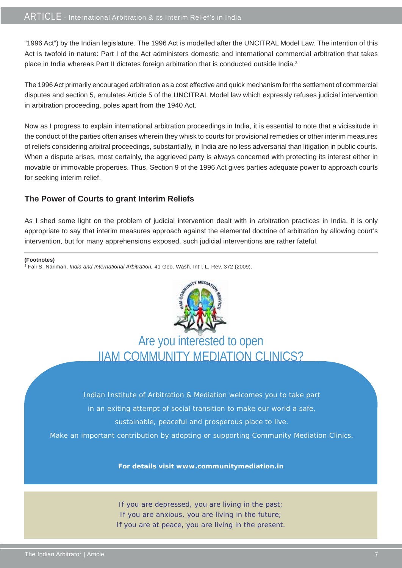"1996 Act") by the Indian legislature. The 1996 Act is modelled after the UNCITRAL Model Law. The intention of this Act is twofold in nature: Part I of the Act administers domestic and international commercial arbitration that takes place in India whereas Part II dictates foreign arbitration that is conducted outside India.<sup>3</sup>

The 1996 Act primarily encouraged arbitration as a cost effective and quick mechanism for the settlement of commercial disputes and section 5, emulates Article 5 of the UNCITRAL Model law which expressly refuses judicial intervention in arbitration proceeding, poles apart from the 1940 Act.

Now as I progress to explain international arbitration proceedings in India, it is essential to note that a vicissitude in the conduct of the parties often arises wherein they whisk to courts for provisional remedies or other interim measures of reliefs considering arbitral proceedings, substantially, in India are no less adversarial than litigation in public courts. When a dispute arises, most certainly, the aggrieved party is always concerned with protecting its interest either in movable or immovable properties. Thus, Section 9 of the 1996 Act gives parties adequate power to approach courts for seeking interim relief.

## **The Power of Courts to grant Interim Reliefs**

As I shed some light on the problem of judicial intervention dealt with in arbitration practices in India, it is only appropriate to say that interim measures approach against the elemental doctrine of arbitration by allowing court's intervention, but for many apprehensions exposed, such judicial interventions are rather fateful.

| (Footnotes)                                                                                                         |  |  |  |
|---------------------------------------------------------------------------------------------------------------------|--|--|--|
| <sup>3</sup> Fali S. Nariman, <i>India and International Arbitration</i> , 41 Geo. Wash. Int'l. L. Rev. 372 (2009). |  |  |  |



## Are you interested to open IIAM COMMUNITY MEDIATION CLINICS?

Indian Institute of Arbitration & Mediation welcomes you to take part in an exiting attempt of social transition to make our world a safe, sustainable, peaceful and prosperous place to live.

Make an important contribution by adopting or supporting Community Mediation Clinics.

**For details visit www.communitymediation.in**

If you are depressed, you are living in the past; If you are anxious, you are living in the future; If you are at peace, you are living in the present.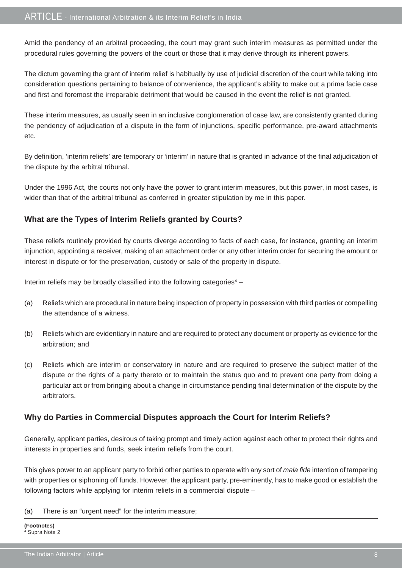Amid the pendency of an arbitral proceeding, the court may grant such interim measures as permitted under the procedural rules governing the powers of the court or those that it may derive through its inherent powers.

The dictum governing the grant of interim relief is habitually by use of judicial discretion of the court while taking into consideration questions pertaining to balance of convenience, the applicant's ability to make out a prima facie case and first and foremost the irreparable detriment that would be caused in the event the relief is not granted.

These interim measures, as usually seen in an inclusive conglomeration of case law, are consistently granted during the pendency of adjudication of a dispute in the form of injunctions, specific performance, pre-award attachments etc.

By definition, 'interim reliefs' are temporary or 'interim' in nature that is granted in advance of the final adjudication of the dispute by the arbitral tribunal.

Under the 1996 Act, the courts not only have the power to grant interim measures, but this power, in most cases, is wider than that of the arbitral tribunal as conferred in greater stipulation by me in this paper.

## **What are the Types of Interim Reliefs granted by Courts?**

These reliefs routinely provided by courts diverge according to facts of each case, for instance, granting an interim injunction, appointing a receiver, making of an attachment order or any other interim order for securing the amount or interest in dispute or for the preservation, custody or sale of the property in dispute.

Interim reliefs may be broadly classified into the following categories<sup>4</sup> -

- (a) Reliefs which are procedural in nature being inspection of property in possession with third parties or compelling the attendance of a witness.
- (b) Reliefs which are evidentiary in nature and are required to protect any document or property as evidence for the arbitration; and
- (c) Reliefs which are interim or conservatory in nature and are required to preserve the subject matter of the dispute or the rights of a party thereto or to maintain the status quo and to prevent one party from doing a particular act or from bringing about a change in circumstance pending final determination of the dispute by the arbitrators.

## **Why do Parties in Commercial Disputes approach the Court for Interim Reliefs?**

Generally, applicant parties, desirous of taking prompt and timely action against each other to protect their rights and interests in properties and funds, seek interim reliefs from the court.

This gives power to an applicant party to forbid other parties to operate with any sort of *mala fide* intention of tampering with properties or siphoning off funds. However, the applicant party, pre-eminently, has to make good or establish the following factors while applying for interim reliefs in a commercial dispute –

(a) There is an "urgent need" for the interim measure;

**(Footnotes)** 4 Supra Note 2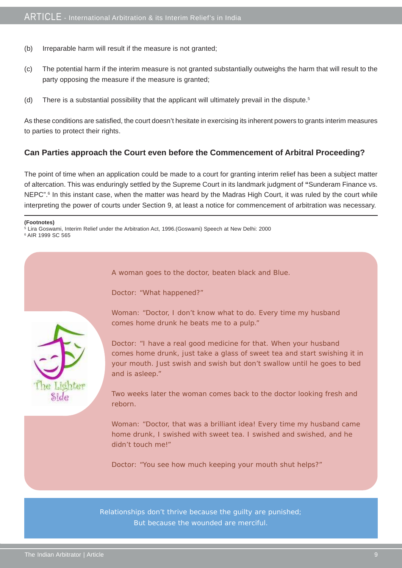- (b) Irreparable harm will result if the measure is not granted;
- (c) The potential harm if the interim measure is not granted substantially outweighs the harm that will result to the party opposing the measure if the measure is granted;
- (d) There is a substantial possibility that the applicant will ultimately prevail in the dispute.<sup>5</sup>

As these conditions are satisfied, the court doesn't hesitate in exercising its inherent powers to grants interim measures to parties to protect their rights.

### **Can Parties approach the Court even before the Commencement of Arbitral Proceeding?**

The point of time when an application could be made to a court for granting interim relief has been a subject matter of altercation. This was enduringly settled by the Supreme Court in its landmark judgment of **"**Sunderam Finance vs. NEPC".<sup>6</sup> In this instant case, when the matter was heard by the Madras High Court, it was ruled by the court while interpreting the power of courts under Section 9, at least a notice for commencement of arbitration was necessary.

#### **(Footnotes)**

5 Lira Goswami, Interim Relief under the Arbitration Act, 1996.(Goswami) Speech at New Delhi: 2000 6 AIR 1999 SC 565

A woman goes to the doctor, beaten black and Blue.

Doctor: "What happened?"



Woman: "Doctor, I don't know what to do. Every time my husband comes home drunk he beats me to a pulp."

Doctor: "I have a real good medicine for that. When your husband comes home drunk, just take a glass of sweet tea and start swishing it in your mouth. Just swish and swish but don't swallow until he goes to bed and is asleep."

Two weeks later the woman comes back to the doctor looking fresh and reborn.

Woman: "Doctor, that was a brilliant idea! Every time my husband came home drunk, I swished with sweet tea. I swished and swished, and he didn't touch me!"

Doctor: "You see how much keeping your mouth shut helps?"

Relationships don't thrive because the guilty are punished; But because the wounded are merciful.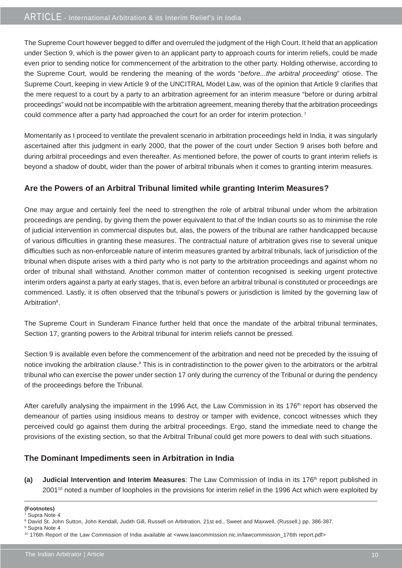The Supreme Court however begged to differ and overruled the judgment of the High Court. It held that an application under Section 9, which is the power given to an applicant party to approach courts for interim reliefs, could be made even prior to sending notice for commencement of the arbitration to the other party. Holding otherwise, according to the Supreme Court, would be rendering the meaning of the words "*before...the arbitral proceeding*" otiose. The Supreme Court, keeping in view Article 9 of the UNCITRAL Model Law, was of the opinion that Article 9 clarifies that the mere request to a court by a party to an arbitration agreement for an interim measure "before or during arbitral proceedings" would not be incompatible with the arbitration agreement, meaning thereby that the arbitration proceedings could commence after a party had approached the court for an order for interim protection.<sup>7</sup>

Momentarily as I proceed to ventilate the prevalent scenario in arbitration proceedings held in India, it was singularly ascertained after this judgment in early 2000, that the power of the court under Section 9 arises both before and during arbitral proceedings and even thereafter. As mentioned before, the power of courts to grant interim reliefs is beyond a shadow of doubt, wider than the power of arbitral tribunals when it comes to granting interim measures.

## **Are the Powers of an Arbitral Tribunal limited while granting Interim Measures?**

One may argue and certainly feel the need to strengthen the role of arbitral tribunal under whom the arbitration proceedings are pending, by giving them the power equivalent to that of the Indian courts so as to minimise the role of judicial intervention in commercial disputes but, alas, the powers of the tribunal are rather handicapped because of various difficulties in granting these measures. The contractual nature of arbitration gives rise to several unique difficulties such as non-enforceable nature of interim measures granted by arbitral tribunals, lack of jurisdiction of the tribunal when dispute arises with a third party who is not party to the arbitration proceedings and against whom no order of tribunal shall withstand. Another common matter of contention recognised is seeking urgent protective interim orders against a party at early stages, that is, even before an arbitral tribunal is constituted or proceedings are commenced. Lastly, it is often observed that the tribunal's powers or jurisdiction is limited by the governing law of Arbitration<sup>8</sup>.

The Supreme Court in Sunderam Finance further held that once the mandate of the arbitral tribunal terminates, Section 17, granting powers to the Arbitral tribunal for interim reliefs cannot be pressed.

Section 9 is available even before the commencement of the arbitration and need not be preceded by the issuing of notice invoking the arbitration clause.<sup>9</sup> This is in contradistinction to the power given to the arbitrators or the arbitral tribunal who can exercise the power under section 17 only during the currency of the Tribunal or during the pendency of the proceedings before the Tribunal.

After carefully analysing the impairment in the 1996 Act, the Law Commission in its 176<sup>th</sup> report has observed the demeanour of parties using insidious means to destroy or tamper with evidence, concoct witnesses which they perceived could go against them during the arbitral proceedings. Ergo, stand the immediate need to change the provisions of the existing section, so that the Arbitral Tribunal could get more powers to deal with such situations.

## **The Dominant Impediments seen in Arbitration in India**

**(a) Judicial Intervention and Interim Measures**: The Law Commission of India in its 176<sup>th</sup> report published in 2001<sup>10</sup> noted a number of loopholes in the provisions for interim relief in the 1996 Act which were exploited by

**<sup>(</sup>Footnotes)** 7 Supra Note 4

<sup>8</sup> David St. John Sutton, John Kendall, Judith Gill, Russell on Arbitration, 21st ed., Sweet and Maxwell, (Russell,) pp. 386-387.

<sup>9</sup> Supra Note 4

<sup>10 176</sup>th Report of the Law Commission of India available at <www.lawcommission.nic.in/lawcommission\_176th report.pdf>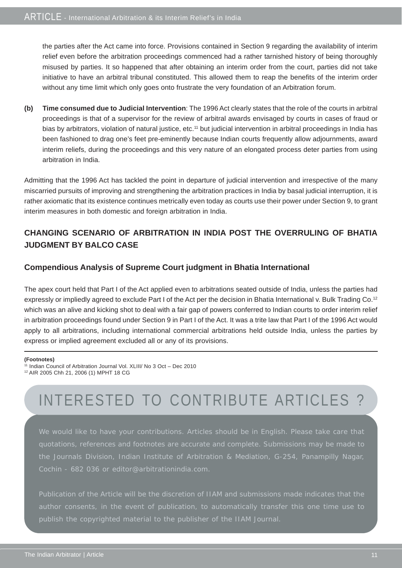the parties after the Act came into force. Provisions contained in Section 9 regarding the availability of interim relief even before the arbitration proceedings commenced had a rather tarnished history of being thoroughly misused by parties. It so happened that after obtaining an interim order from the court, parties did not take initiative to have an arbitral tribunal constituted. This allowed them to reap the benefits of the interim order without any time limit which only goes onto frustrate the very foundation of an Arbitration forum.

**(b) Time consumed due to Judicial Intervention**: The 1996 Act clearly states that the role of the courts in arbitral proceedings is that of a supervisor for the review of arbitral awards envisaged by courts in cases of fraud or bias by arbitrators, violation of natural justice, etc.<sup>11</sup> but judicial intervention in arbitral proceedings in India has been fashioned to drag one's feet pre-eminently because Indian courts frequently allow adjournments, award interim reliefs, during the proceedings and this very nature of an elongated process deter parties from using arbitration in India.

Admitting that the 1996 Act has tackled the point in departure of judicial intervention and irrespective of the many miscarried pursuits of improving and strengthening the arbitration practices in India by basal judicial interruption, it is rather axiomatic that its existence continues metrically even today as courts use their power under Section 9, to grant interim measures in both domestic and foreign arbitration in India.

## **CHANGING SCENARIO OF ARBITRATION IN INDIA POST THE OVERRULING OF BHATIA JUDGMENT BY BALCO CASE**

## **Compendious Analysis of Supreme Court judgment in Bhatia International**

The apex court held that Part I of the Act applied even to arbitrations seated outside of India, unless the parties had expressly or impliedly agreed to exclude Part I of the Act per the decision in Bhatia International v. Bulk Trading Co.12 which was an alive and kicking shot to deal with a fair gap of powers conferred to Indian courts to order interim relief in arbitration proceedings found under Section 9 in Part I of the Act. It was a trite law that Part I of the 1996 Act would apply to all arbitrations, including international commercial arbitrations held outside India, unless the parties by express or implied agreement excluded all or any of its provisions.

#### **(Footnotes)**

12 AIR 2005 Chh 21, 2006 (1) MPHT 18 CG

# INTERESTED TO CONTRIBUTE ARTICLES ?

We would like to have your contributions. Articles should be in English. Please take care that the Journals Division, Indian Institute of Arbitration & Mediation, G-254, Panampilly Nagar, Cochin - 682 036 or editor@arbitrationindia.com.

publish the copyrighted material to the publisher of the IIAM Journal.

<sup>11</sup> Indian Council of Arbitration Journal Vol. XLIII/ No 3 Oct – Dec 2010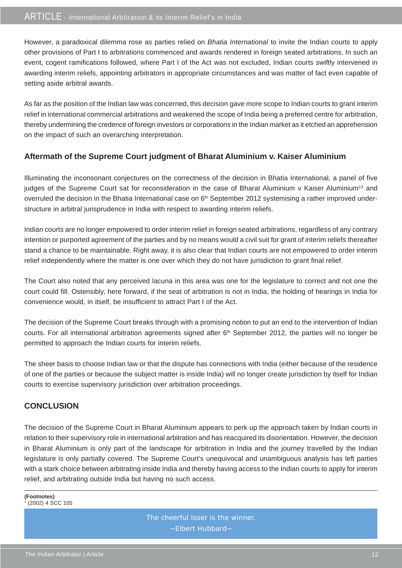However, a paradoxical dilemma rose as parties relied on *Bhatia International* to invite the Indian courts to apply other provisions of Part I to arbitrations commenced and awards rendered in foreign seated arbitrations. In such an event, cogent ramifications followed, where Part I of the Act was not excluded, Indian courts swiftly intervened in awarding interim reliefs, appointing arbitrators in appropriate circumstances and was matter of fact even capable of setting aside arbitral awards.

As far as the position of the Indian law was concerned, this decision gave more scope to Indian courts to grant interim relief in international commercial arbitrations and weakened the scope of India being a preferred centre for arbitration, thereby undermining the credence of foreign investors or corporations in the Indian market as it etched an apprehension on the impact of such an overarching interpretation.

## **Aftermath of the Supreme Court judgment of Bharat Aluminium v. Kaiser Aluminium**

Illuminating the inconsonant conjectures on the correctness of the decision in Bhatia International*,* a panel of five judges of the Supreme Court sat for reconsideration in the case of Bharat Aluminium v Kaiser Aluminium<sup>13</sup> and overruled the decision in the Bhatia International case on 6<sup>th</sup> September 2012 systemising a rather improved understructure in arbitral jurisprudence in India with respect to awarding interim reliefs.

Indian courts are no longer empowered to order interim relief in foreign seated arbitrations, regardless of any contrary intention or purported agreement of the parties and by no means would a civil suit for grant of interim reliefs thereafter stand a chance to be maintainable. Right away, it is also clear that Indian courts are not empowered to order interim relief independently where the matter is one over which they do not have jurisdiction to grant final relief.

The Court also noted that any perceived lacuna in this area was one for the legislature to correct and not one the court could fill. Ostensibly, here forward, if the seat of arbitration is not in India, the holding of hearings in India for convenience would, in itself, be insufficient to attract Part I of the Act.

The decision of the Supreme Court breaks through with a promising notion to put an end to the intervention of Indian courts. For all international arbitration agreements signed after 6<sup>th</sup> September 2012, the parties will no longer be permitted to approach the Indian courts for interim reliefs.

The sheer basis to choose Indian law or that the dispute has connections with India (either because of the residence of one of the parties or because the subject matter is inside India) will no longer create jurisdiction by itself for Indian courts to exercise supervisory jurisdiction over arbitration proceedings.

## **CONCLUSION**

The decision of the Supreme Court in Bharat Aluminium appears to perk up the approach taken by Indian courts in relation to their supervisory role in international arbitration and has reacquired its disorientation. However, the decision in Bharat Aluminium is only part of the landscape for arbitration in India and the journey travelled by the Indian legislature is only partially covered. The Supreme Court's unequivocal and unambiguous analysis has left parties with a stark choice between arbitrating inside India and thereby having access to the Indian courts to apply for interim relief, and arbitrating outside India but having no such access.

**(Footnotes)**  $(2002)$  4 SCC 105

> The cheerful loser is the winner. ~Elbert Hubbard~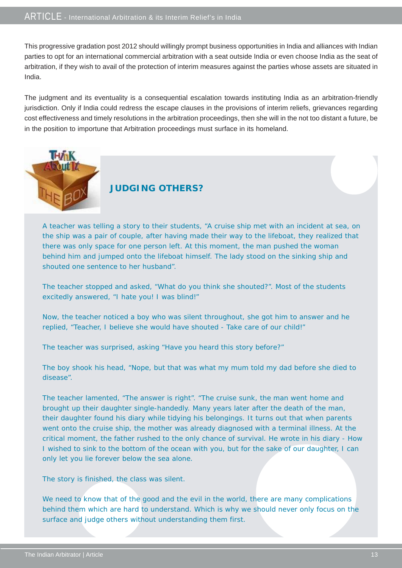This progressive gradation post 2012 should willingly prompt business opportunities in India and alliances with Indian parties to opt for an international commercial arbitration with a seat outside India or even choose India as the seat of arbitration, if they wish to avail of the protection of interim measures against the parties whose assets are situated in India.

The judgment and its eventuality is a consequential escalation towards instituting India as an arbitration-friendly jurisdiction. Only if India could redress the escape clauses in the provisions of interim reliefs, grievances regarding cost effectiveness and timely resolutions in the arbitration proceedings, then she will in the not too distant a future, be in the position to importune that Arbitration proceedings must surface in its homeland.



## **JUDGING OTHERS?**

A teacher was telling a story to their students, "A cruise ship met with an incident at sea, on the ship was a pair of couple, after having made their way to the lifeboat, they realized that there was only space for one person left. At this moment, the man pushed the woman behind him and jumped onto the lifeboat himself. The lady stood on the sinking ship and shouted one sentence to her husband".

The teacher stopped and asked, "What do you think she shouted?". Most of the students excitedly answered, "I hate you! I was blind!"

Now, the teacher noticed a boy who was silent throughout, she got him to answer and he replied, "Teacher, I believe she would have shouted - Take care of our child!"

The teacher was surprised, asking "Have you heard this story before?"

The boy shook his head, "Nope, but that was what my mum told my dad before she died to disease".

The teacher lamented, "The answer is right". "The cruise sunk, the man went home and brought up their daughter single-handedly. Many years later after the death of the man, their daughter found his diary while tidying his belongings. It turns out that when parents went onto the cruise ship, the mother was already diagnosed with a terminal illness. At the critical moment, the father rushed to the only chance of survival. He wrote in his diary - How I wished to sink to the bottom of the ocean with you, but for the sake of our daughter, I can only let you lie forever below the sea alone.

The story is finished, the class was silent.

We need to know that of the good and the evil in the world, there are many complications behind them which are hard to understand. Which is why we should never only focus on the surface and judge others without understanding them first.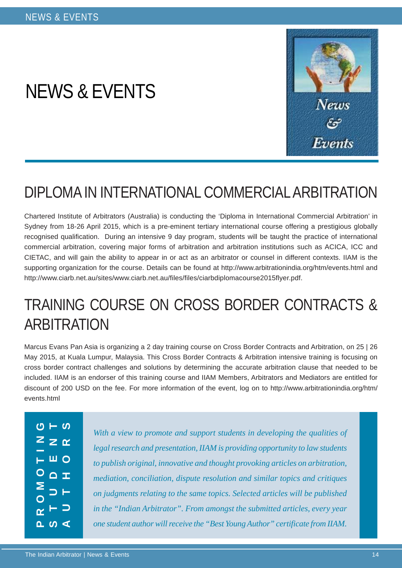# NEWS & EVENTS



# DIPLOMA IN INTERNATIONAL COMMERCIAL ARBITRATION

Chartered Institute of Arbitrators (Australia) is conducting the 'Diploma in International Commercial Arbitration' in Sydney from 18-26 April 2015, which is a pre-eminent tertiary international course offering a prestigious globally recognised qualification. During an intensive 9 day program, students will be taught the practice of international commercial arbitration, covering major forms of arbitration and arbitration institutions such as ACICA, ICC and CIETAC, and will gain the ability to appear in or act as an arbitrator or counsel in different contexts. IIAM is the supporting organization for the course. Details can be found at http://www.arbitrationindia.org/htm/events.html and http://www.ciarb.net.au/sites/www.ciarb.net.au/files/files/ciarbdiplomacourse2015flyer.pdf.

# TRAINING COURSE ON CROSS BORDER CONTRACTS & **ARBITRATION**

Marcus Evans Pan Asia is organizing a 2 day training course on Cross Border Contracts and Arbitration, on 25 | 26 May 2015, at Kuala Lumpur, Malaysia. This Cross Border Contracts & Arbitration intensive training is focusing on cross border contract challenges and solutions by determining the accurate arbitration clause that needed to be included. IIAM is an endorser of this training course and IIAM Members, Arbitrators and Mediators are entitled for discount of 200 USD on the fee. For more information of the event, log on to http://www.arbitrationindia.org/htm/ events html

|                                   | $\frac{1}{2}$ – $\frac{1}{2}$                |  |
|-----------------------------------|----------------------------------------------|--|
|                                   | $Z \geq \alpha$                              |  |
|                                   | $\overline{+}$ $\overline{=}$ $\overline{0}$ |  |
|                                   | $\circ$ $\circ$ $\pm$                        |  |
| $\geq$<br>$\overline{\mathbf{o}}$ | $\Rightarrow$ $\vdash$                       |  |
|                                   | $\alpha$ $\vdash$ $\supset$                  |  |
|                                   | $\sim$ $\sim$ $\sim$                         |  |

*With a view to promote and support students in developing the qualities of legal research and presentation, IIAM is providing opportunity to law students to publish original, innovative and thought provoking articles on arbitration, mediation, conciliation, dispute resolution and similar topics and critiques on judgments relating to the same topics. Selected articles will be published in the "Indian Arbitrator". From amongst the submitted articles, every year one student author will receive the "Best Young Author" certificate from IIAM.*